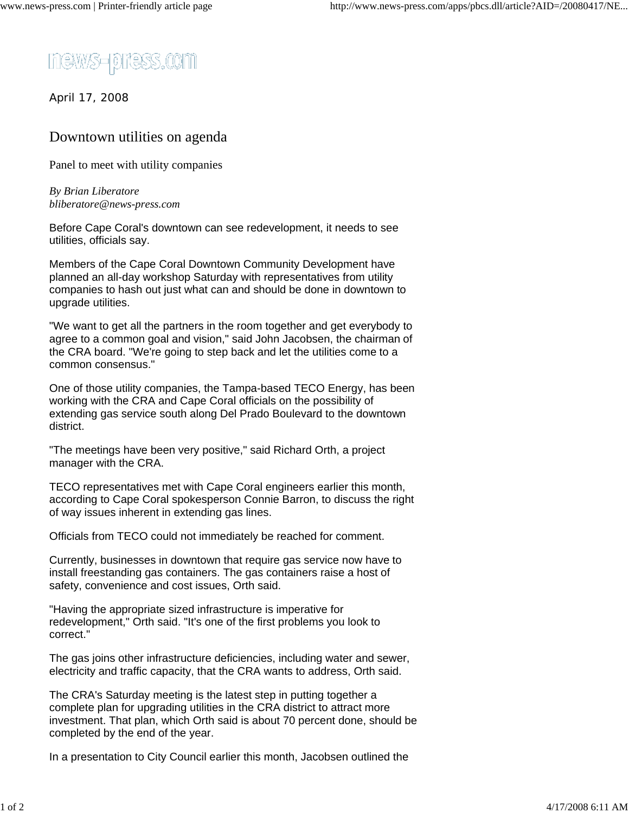

April 17, 2008

## Downtown utilities on agenda

Panel to meet with utility companies

*By Brian Liberatore bliberatore@news-press.com*

Before Cape Coral's downtown can see redevelopment, it needs to see utilities, officials say.

Members of the Cape Coral Downtown Community Development have planned an all-day workshop Saturday with representatives from utility companies to hash out just what can and should be done in downtown to upgrade utilities.

"We want to get all the partners in the room together and get everybody to agree to a common goal and vision," said John Jacobsen, the chairman of the CRA board. "We're going to step back and let the utilities come to a common consensus."

One of those utility companies, the Tampa-based TECO Energy, has been working with the CRA and Cape Coral officials on the possibility of extending gas service south along Del Prado Boulevard to the downtown district.

"The meetings have been very positive," said Richard Orth, a project manager with the CRA.

TECO representatives met with Cape Coral engineers earlier this month, according to Cape Coral spokesperson Connie Barron, to discuss the right of way issues inherent in extending gas lines.

Officials from TECO could not immediately be reached for comment.

Currently, businesses in downtown that require gas service now have to install freestanding gas containers. The gas containers raise a host of safety, convenience and cost issues, Orth said.

"Having the appropriate sized infrastructure is imperative for redevelopment," Orth said. "It's one of the first problems you look to correct."

The gas joins other infrastructure deficiencies, including water and sewer, electricity and traffic capacity, that the CRA wants to address, Orth said.

The CRA's Saturday meeting is the latest step in putting together a complete plan for upgrading utilities in the CRA district to attract more investment. That plan, which Orth said is about 70 percent done, should be completed by the end of the year.

In a presentation to City Council earlier this month, Jacobsen outlined the